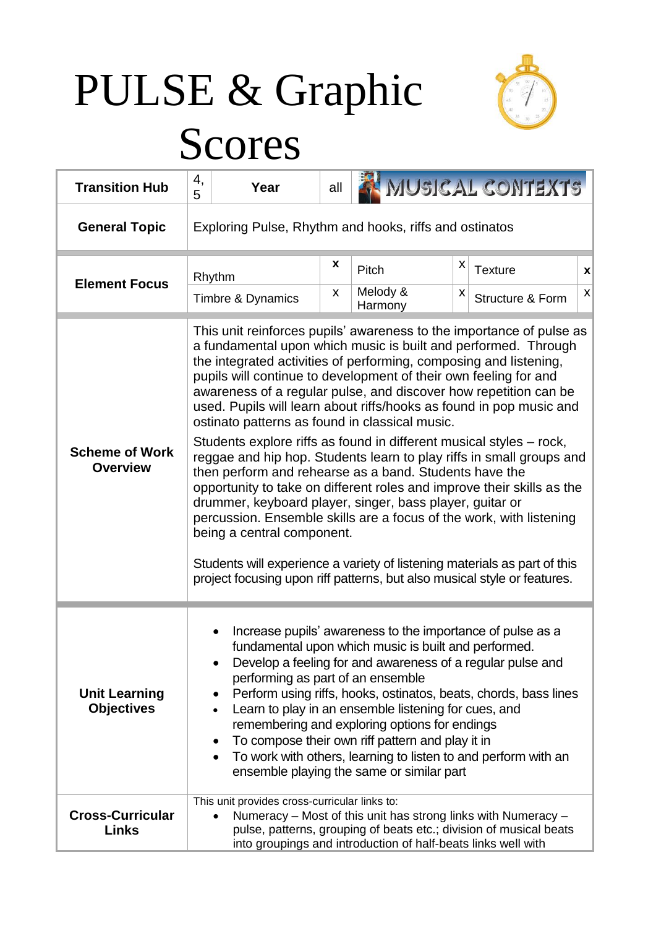## PULSE & Graphic



## Scores

| <b>Transition Hub</b>                               | 4,<br>5                                                                                                                                                                                                                                                                                                                                                                                                                                                                                                                                                                                                                                                                                                                                                                                                                                                                                                                                                                                                                                                                                   | Year | all    |                              |        | MUSICAL CONTEXTS                   |        |
|-----------------------------------------------------|-------------------------------------------------------------------------------------------------------------------------------------------------------------------------------------------------------------------------------------------------------------------------------------------------------------------------------------------------------------------------------------------------------------------------------------------------------------------------------------------------------------------------------------------------------------------------------------------------------------------------------------------------------------------------------------------------------------------------------------------------------------------------------------------------------------------------------------------------------------------------------------------------------------------------------------------------------------------------------------------------------------------------------------------------------------------------------------------|------|--------|------------------------------|--------|------------------------------------|--------|
| <b>General Topic</b>                                | Exploring Pulse, Rhythm and hooks, riffs and ostinatos                                                                                                                                                                                                                                                                                                                                                                                                                                                                                                                                                                                                                                                                                                                                                                                                                                                                                                                                                                                                                                    |      |        |                              |        |                                    |        |
| Rhythm<br><b>Element Focus</b><br>Timbre & Dynamics |                                                                                                                                                                                                                                                                                                                                                                                                                                                                                                                                                                                                                                                                                                                                                                                                                                                                                                                                                                                                                                                                                           |      | X<br>X | Pitch<br>Melody &<br>Harmony | Χ<br>X | <b>Texture</b><br>Structure & Form | X<br>X |
| <b>Scheme of Work</b><br><b>Overview</b>            | This unit reinforces pupils' awareness to the importance of pulse as<br>a fundamental upon which music is built and performed. Through<br>the integrated activities of performing, composing and listening,<br>pupils will continue to development of their own feeling for and<br>awareness of a regular pulse, and discover how repetition can be<br>used. Pupils will learn about riffs/hooks as found in pop music and<br>ostinato patterns as found in classical music.<br>Students explore riffs as found in different musical styles – rock,<br>reggae and hip hop. Students learn to play riffs in small groups and<br>then perform and rehearse as a band. Students have the<br>opportunity to take on different roles and improve their skills as the<br>drummer, keyboard player, singer, bass player, guitar or<br>percussion. Ensemble skills are a focus of the work, with listening<br>being a central component.<br>Students will experience a variety of listening materials as part of this<br>project focusing upon riff patterns, but also musical style or features. |      |        |                              |        |                                    |        |
| <b>Unit Learning</b><br><b>Objectives</b>           | Increase pupils' awareness to the importance of pulse as a<br>fundamental upon which music is built and performed.<br>Develop a feeling for and awareness of a regular pulse and<br>performing as part of an ensemble<br>Perform using riffs, hooks, ostinatos, beats, chords, bass lines<br>$\bullet$<br>Learn to play in an ensemble listening for cues, and<br>$\bullet$<br>remembering and exploring options for endings<br>To compose their own riff pattern and play it in<br>$\bullet$<br>To work with others, learning to listen to and perform with an<br>$\bullet$<br>ensemble playing the same or similar part                                                                                                                                                                                                                                                                                                                                                                                                                                                                 |      |        |                              |        |                                    |        |
| <b>Cross-Curricular</b><br>Links                    | This unit provides cross-curricular links to:<br>Numeracy - Most of this unit has strong links with Numeracy -<br>pulse, patterns, grouping of beats etc.; division of musical beats<br>into groupings and introduction of half-beats links well with                                                                                                                                                                                                                                                                                                                                                                                                                                                                                                                                                                                                                                                                                                                                                                                                                                     |      |        |                              |        |                                    |        |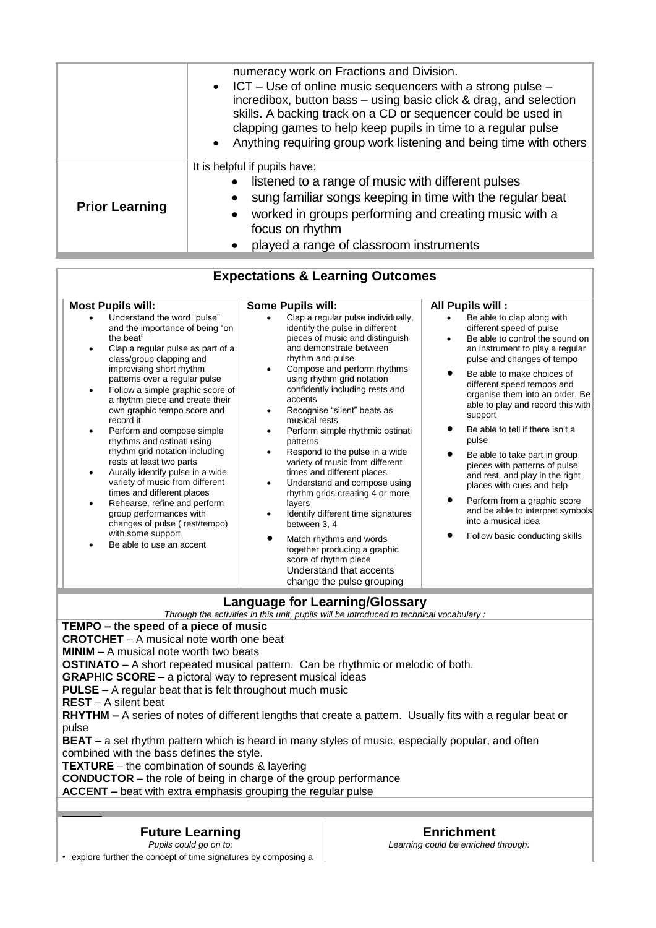|                       | numeracy work on Fractions and Division.<br>• ICT – Use of online music sequencers with a strong pulse –<br>incredibox, button bass – using basic click & drag, and selection<br>skills. A backing track on a CD or sequencer could be used in<br>clapping games to help keep pupils in time to a regular pulse<br>Anything requiring group work listening and being time with others<br>$\bullet$ |
|-----------------------|----------------------------------------------------------------------------------------------------------------------------------------------------------------------------------------------------------------------------------------------------------------------------------------------------------------------------------------------------------------------------------------------------|
| <b>Prior Learning</b> | It is helpful if pupils have:<br>listened to a range of music with different pulses<br>sung familiar songs keeping in time with the regular beat<br>worked in groups performing and creating music with a<br>focus on rhythm<br>• played a range of classroom instruments                                                                                                                          |

| <b>Expectations &amp; Learning Outcomes</b>                                                                                                                                                                                                                                                                                                                                                                                                                                                                                                                                                                                                                                                                                                                                                           |                                                                                                                                                                                                                                                                                                                                                                                                                                                                                                                                                                                                                                                                                                                                                                                                                      |                                                                                                                                                                                                                                                                                                                                                                                                                                                                                                                                                                                                                                                                     |  |  |  |  |  |
|-------------------------------------------------------------------------------------------------------------------------------------------------------------------------------------------------------------------------------------------------------------------------------------------------------------------------------------------------------------------------------------------------------------------------------------------------------------------------------------------------------------------------------------------------------------------------------------------------------------------------------------------------------------------------------------------------------------------------------------------------------------------------------------------------------|----------------------------------------------------------------------------------------------------------------------------------------------------------------------------------------------------------------------------------------------------------------------------------------------------------------------------------------------------------------------------------------------------------------------------------------------------------------------------------------------------------------------------------------------------------------------------------------------------------------------------------------------------------------------------------------------------------------------------------------------------------------------------------------------------------------------|---------------------------------------------------------------------------------------------------------------------------------------------------------------------------------------------------------------------------------------------------------------------------------------------------------------------------------------------------------------------------------------------------------------------------------------------------------------------------------------------------------------------------------------------------------------------------------------------------------------------------------------------------------------------|--|--|--|--|--|
| <b>Most Pupils will:</b><br>Understand the word "pulse"<br>and the importance of being "on<br>the beat"<br>Clap a regular pulse as part of a<br>$\bullet$<br>class/group clapping and<br>improvising short rhythm<br>patterns over a regular pulse<br>Follow a simple graphic score of<br>$\bullet$<br>a rhythm piece and create their<br>own graphic tempo score and<br>record it<br>Perform and compose simple<br>$\bullet$<br>rhythms and ostinati using<br>rhythm grid notation including<br>rests at least two parts<br>Aurally identify pulse in a wide<br>$\bullet$<br>variety of music from different<br>times and different places<br>Rehearse, refine and perform<br>$\bullet$<br>group performances with<br>changes of pulse (rest/tempo)<br>with some support<br>Be able to use an accent | Some Pupils will:<br>Clap a regular pulse individually,<br>identify the pulse in different<br>pieces of music and distinguish<br>and demonstrate between<br>rhythm and pulse<br>Compose and perform rhythms<br>٠<br>using rhythm grid notation<br>confidently including rests and<br>accents<br>Recognise "silent" beats as<br>٠<br>musical rests<br>Perform simple rhythmic ostinati<br>٠<br>patterns<br>Respond to the pulse in a wide<br>٠<br>variety of music from different<br>times and different places<br>Understand and compose using<br>٠<br>rhythm grids creating 4 or more<br>layers<br>Identify different time signatures<br>$\bullet$<br>between 3, 4<br>Match rhythms and words<br>٠<br>together producing a graphic<br>score of rhythm piece<br>Understand that accents<br>change the pulse grouping | All Pupils will:<br>Be able to clap along with<br>different speed of pulse<br>Be able to control the sound on<br>$\bullet$<br>an instrument to play a regular<br>pulse and changes of tempo<br>Be able to make choices of<br>different speed tempos and<br>organise them into an order. Be<br>able to play and record this with<br>support<br>Be able to tell if there isn't a<br>pulse<br>Be able to take part in group<br>pieces with patterns of pulse<br>and rest, and play in the right<br>places with cues and help<br>Perform from a graphic score<br>$\bullet$<br>and be able to interpret symbols<br>into a musical idea<br>Follow basic conducting skills |  |  |  |  |  |
| <b>Language for Learning/Glossary</b><br>Through the activities in this unit, pupils will be introduced to technical vocabulary :                                                                                                                                                                                                                                                                                                                                                                                                                                                                                                                                                                                                                                                                     |                                                                                                                                                                                                                                                                                                                                                                                                                                                                                                                                                                                                                                                                                                                                                                                                                      |                                                                                                                                                                                                                                                                                                                                                                                                                                                                                                                                                                                                                                                                     |  |  |  |  |  |
| TEMPO - the speed of a piece of music<br><b>CROTCHET</b> – A musical note worth one beat<br>$MINIM - A musical note worth two beats$<br><b>OSTINATO</b> – A short repeated musical pattern. Can be rhythmic or melodic of both.<br><b>GRAPHIC SCORE</b> – a pictoral way to represent musical ideas                                                                                                                                                                                                                                                                                                                                                                                                                                                                                                   |                                                                                                                                                                                                                                                                                                                                                                                                                                                                                                                                                                                                                                                                                                                                                                                                                      |                                                                                                                                                                                                                                                                                                                                                                                                                                                                                                                                                                                                                                                                     |  |  |  |  |  |

**PULSE** – A regular beat that is felt throughout much music

**REST** – A silent beat

**RHYTHM –** A series of notes of different lengths that create a pattern. Usually fits with a regular beat or pulse

**BEAT** – a set rhythm pattern which is heard in many styles of music, especially popular, and often combined with the bass defines the style.

**TEXTURE** – the combination of sounds & layering

**CONDUCTOR** – the role of being in charge of the group performance

**ACCENT –** beat with extra emphasis grouping the regular pulse

## **Future Learning**

*Pupils could go on to:*

• explore further the concept of time signatures by composing a

**Enrichment**

*Learning could be enriched through:*